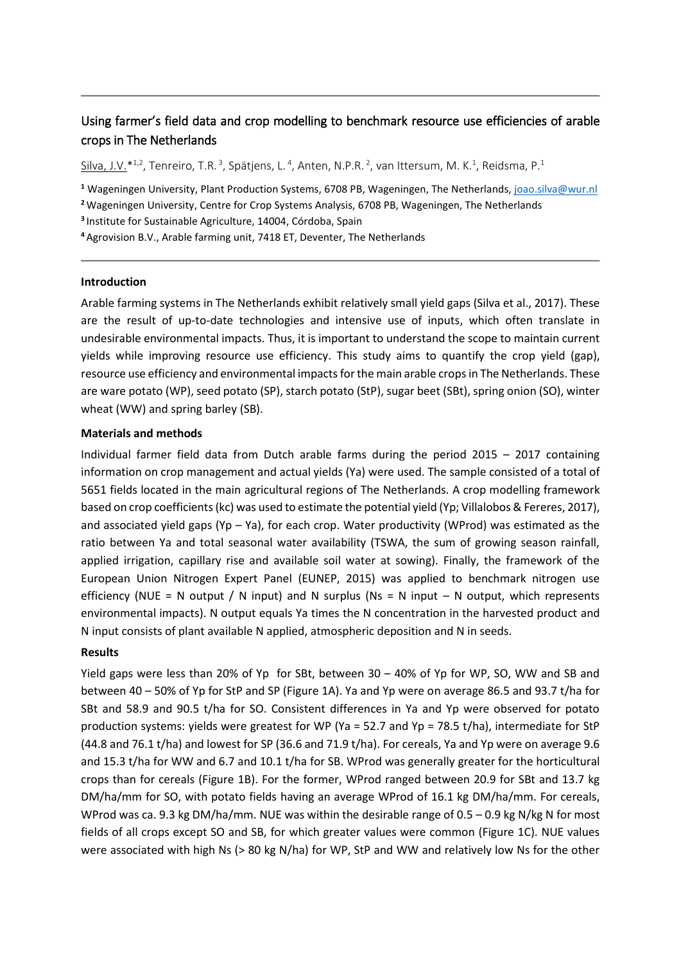# Using farmer's field data and crop modelling to benchmark resource use efficiencies of arable crops in The Netherlands

 $Silva, J.V. *1,2$ , Tenreiro, T.R.<sup>3</sup>, Spätjens, L.<sup>4</sup>, Anten, N.P.R.<sup>2</sup>, van Ittersum, M. K.<sup>1</sup>, Reidsma, P.<sup>1</sup>

**<sup>1</sup>** Wageningen University, Plant Production Systems, 6708 PB, Wageningen, The Netherlands[, joao.silva@wur.nl](mailto:joao.silva@wur.nl) **<sup>2</sup>**Wageningen University, Centre for Crop Systems Analysis, 6708 PB, Wageningen, The Netherlands

**<sup>3</sup>**Institute for Sustainable Agriculture, 14004, Córdoba, Spain

**<sup>4</sup>**Agrovision B.V., Arable farming unit, 7418 ET, Deventer, The Netherlands

## **Introduction**

Arable farming systems in The Netherlands exhibit relatively small yield gaps (Silva et al., 2017). These are the result of up-to-date technologies and intensive use of inputs, which often translate in undesirable environmental impacts. Thus, it is important to understand the scope to maintain current yields while improving resource use efficiency. This study aims to quantify the crop yield (gap), resource use efficiency and environmental impacts for the main arable crops in The Netherlands. These are ware potato (WP), seed potato (SP), starch potato (StP), sugar beet (SBt), spring onion (SO), winter wheat (WW) and spring barley (SB).

## **Materials and methods**

Individual farmer field data from Dutch arable farms during the period 2015 – 2017 containing information on crop management and actual yields (Ya) were used. The sample consisted of a total of 5651 fields located in the main agricultural regions of The Netherlands. A crop modelling framework based on crop coefficients (kc) was used to estimate the potential yield (Yp; Villalobos & Fereres, 2017), and associated yield gaps (Yp – Ya), for each crop. Water productivity (WProd) was estimated as the ratio between Ya and total seasonal water availability (TSWA, the sum of growing season rainfall, applied irrigation, capillary rise and available soil water at sowing). Finally, the framework of the European Union Nitrogen Expert Panel (EUNEP, 2015) was applied to benchmark nitrogen use efficiency (NUE = N output / N input) and N surplus (Ns = N input  $-$  N output, which represents environmental impacts). N output equals Ya times the N concentration in the harvested product and N input consists of plant available N applied, atmospheric deposition and N in seeds.

# **Results**

Yield gaps were less than 20% of Yp for SBt, between 30 – 40% of Yp for WP, SO, WW and SB and between 40 – 50% of Yp for StP and SP (Figure 1A). Ya and Yp were on average 86.5 and 93.7 t/ha for SBt and 58.9 and 90.5 t/ha for SO. Consistent differences in Ya and Yp were observed for potato production systems: yields were greatest for WP (Ya = 52.7 and Yp = 78.5 t/ha), intermediate for StP (44.8 and 76.1 t/ha) and lowest for SP (36.6 and 71.9 t/ha). For cereals, Ya and Yp were on average 9.6 and 15.3 t/ha for WW and 6.7 and 10.1 t/ha for SB. WProd was generally greater for the horticultural crops than for cereals (Figure 1B). For the former, WProd ranged between 20.9 for SBt and 13.7 kg DM/ha/mm for SO, with potato fields having an average WProd of 16.1 kg DM/ha/mm. For cereals, WProd was ca. 9.3 kg DM/ha/mm. NUE was within the desirable range of 0.5 – 0.9 kg N/kg N for most fields of all crops except SO and SB, for which greater values were common (Figure 1C). NUE values were associated with high Ns (> 80 kg N/ha) for WP, StP and WW and relatively low Ns for the other